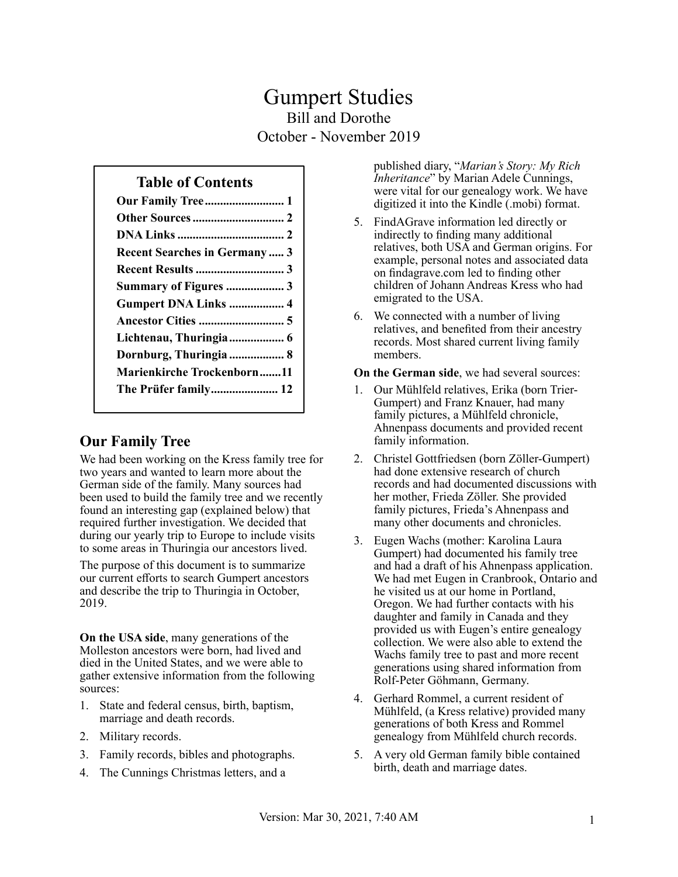# Gumpert Studies Bill and Dorothe October - November 2019

### **Table of Contents**

| <b>Recent Searches in Germany 3</b> |
|-------------------------------------|
|                                     |
| Summary of Figures 3                |
| Gumpert DNA Links  4                |
|                                     |
| Lichtenau, Thuringia 6              |
| Dornburg, Thuringia  8              |
| <b>Marienkirche Trockenborn11</b>   |
|                                     |
|                                     |

## **Our Family Tree**

We had been working on the Kress family tree for two years and wanted to learn more about the German side of the family. Many sources had been used to build the family tree and we recently found an interesting gap (explained below) that required further investigation. We decided that during our yearly trip to Europe to include visits to some areas in Thuringia our ancestors lived.

The purpose of this document is to summarize our current efforts to search Gumpert ancestors and describe the trip to Thuringia in October, 2019.

**On the USA side**, many generations of the Molleston ancestors were born, had lived and died in the United States, and we were able to gather extensive information from the following sources:

- 1. State and federal census, birth, baptism, marriage and death records.
- 2. Military records.
- 3. Family records, bibles and photographs.
- 4. The Cunnings Christmas letters, and a

published diary, "*Marian's Story: My Rich Inheritance*" by Marian Adele Cunnings, were vital for our genealogy work. We have digitized it into the Kindle (.mobi) format.

- 5. FindAGrave information led directly or indirectly to finding many additional relatives, both USA and German origins. For example, personal notes and associated data on findagrave.com led to finding other children of Johann Andreas Kress who had emigrated to the USA.
- 6. We connected with a number of living relatives, and benefited from their ancestry records. Most shared current living family members.

**On the German side**, we had several sources:

- 1. Our Mühlfeld relatives, Erika (born Trier-Gumpert) and Franz Knauer, had many family pictures, a Mühlfeld chronicle, Ahnenpass documents and provided recent family information.
- 2. Christel Gottfriedsen (born Zöller-Gumpert) had done extensive research of church records and had documented discussions with her mother, Frieda Zöller. She provided family pictures, Frieda's Ahnenpass and many other documents and chronicles.
- 3. Eugen Wachs (mother: Karolina Laura Gumpert) had documented his family tree and had a draft of his Ahnenpass application. We had met Eugen in Cranbrook, Ontario and he visited us at our home in Portland, Oregon. We had further contacts with his daughter and family in Canada and they provided us with Eugen's entire genealogy collection. We were also able to extend the Wachs family tree to past and more recent generations using shared information from Rolf-Peter Göhmann, Germany.
- 4. Gerhard Rommel, a current resident of Mühlfeld, (a Kress relative) provided many generations of both Kress and Rommel genealogy from Mühlfeld church records.
- 5. A very old German family bible contained birth, death and marriage dates.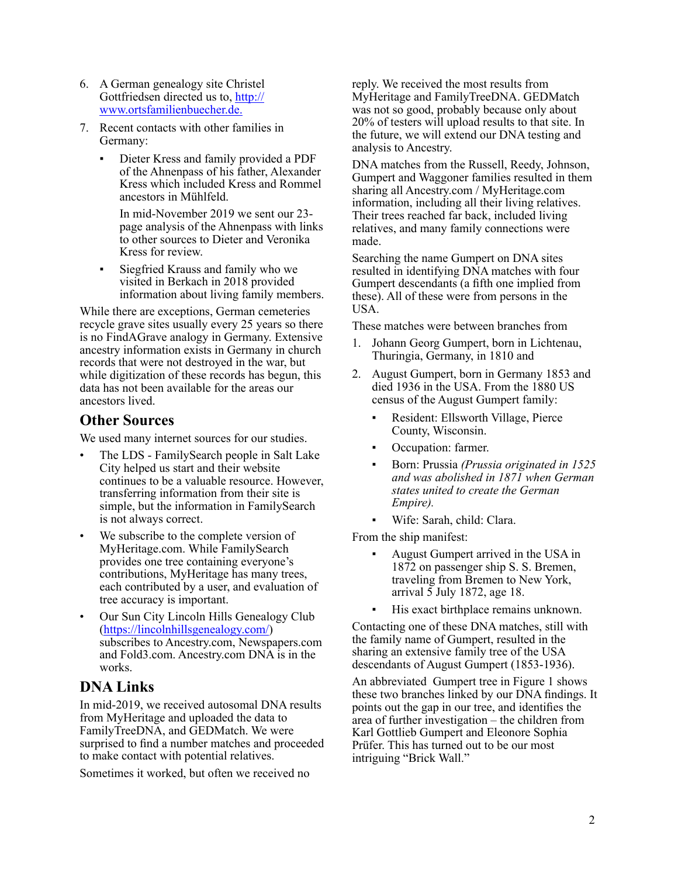- <span id="page-1-0"></span>6. A German genealogy site Christel Gottfriedsen directed us to, [http://](http://www.ortsfamilienbuecher.de) [www.ortsfamilienbuecher.de.](http://www.ortsfamilienbuecher.de)
- 7. Recent contacts with other families in Germany:
	- Dieter Kress and family provided a PDF of the Ahnenpass of his father, Alexander Kress which included Kress and Rommel ancestors in Mühlfeld.

In mid-November 2019 we sent our 23 page analysis of the Ahnenpass with links to other sources to Dieter and Veronika Kress for review.

Siegfried Krauss and family who we visited in Berkach in 2018 provided information about living family members.

While there are exceptions, German cemeteries recycle grave sites usually every 25 years so there is no FindAGrave analogy in Germany. Extensive ancestry information exists in Germany in church records that were not destroyed in the war, but while digitization of these records has begun, this data has not been available for the areas our ancestors lived.

#### **Other Sources**

We used many internet sources for our studies.

- The LDS FamilySearch people in Salt Lake City helped us start and their website continues to be a valuable resource. However, transferring information from their site is simple, but the information in FamilySearch is not always correct.
- We subscribe to the complete version of MyHeritage.com. While FamilySearch provides one tree containing everyone's contributions, MyHeritage has many trees, each contributed by a user, and evaluation of tree accuracy is important.
- Our Sun City Lincoln Hills Genealogy Club (https://lincolnhillsgenealogy.com/) subscribes to Ancestry.com, Newspapers.com and Fold3.com. Ancestry.com DNA is in the works.

## **DNA Links**

In mid-2019, we received autosomal DNA results from MyHeritage and uploaded the data to FamilyTreeDNA, and GEDMatch. We were surprised to find a number matches and proceeded to make contact with potential relatives.

Sometimes it worked, but often we received no

reply. We received the most results from MyHeritage and FamilyTreeDNA. GEDMatch was not so good, probably because only about 20% of testers will upload results to that site. In the future, we will extend our DNA testing and analysis to Ancestry.

DNA matches from the Russell, Reedy, Johnson, Gumpert and Waggoner families resulted in them sharing all Ancestry.com / MyHeritage.com information, including all their living relatives. Their trees reached far back, included living relatives, and many family connections were made.

Searching the name Gumpert on DNA sites resulted in identifying DNA matches with four Gumpert descendants (a fifth one implied from these). All of these were from persons in the USA.

These matches were between branches from

- 1. Johann Georg Gumpert, born in Lichtenau, Thuringia, Germany, in 1810 and
- 2. August Gumpert, born in Germany 1853 and died 1936 in the USA. From the 1880 US census of the August Gumpert family:
	- Resident: Ellsworth Village, Pierce County, Wisconsin.
	- Occupation: farmer.
	- Born: Prussia *(Prussia originated in 1525 and was abolished in 1871 when German states united to create the German Empire).*
	- Wife: Sarah, child: Clara.

From the ship manifest:

- August Gumpert arrived in the USA in 1872 on passenger ship S. S. Bremen, traveling from Bremen to New York, arrival 5 July 1872, age 18.
- His exact birthplace remains unknown.

Contacting one of these DNA matches, still with the family name of Gumpert, resulted in the sharing an extensive family tree of the USA descendants of August Gumpert (1853-1936).

An abbreviated Gumpert tree in Figure 1 shows these two branches linked by our DNA findings. It points out the gap in our tree, and identifies the area of further investigation – the children from Karl Gottlieb Gumpert and Eleonore Sophia Prüfer. This has turned out to be our most intriguing "Brick Wall."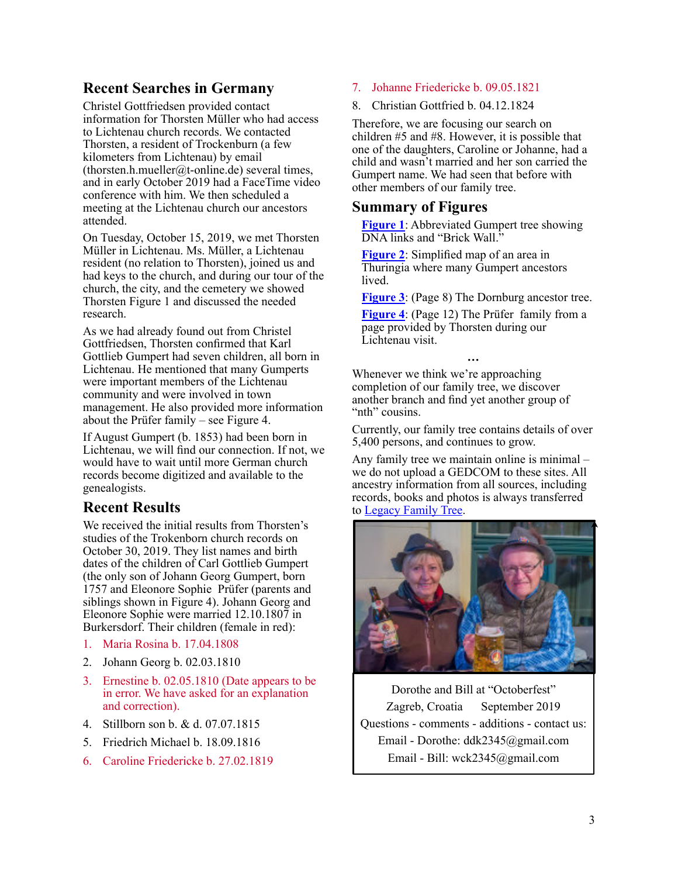### <span id="page-2-0"></span>**Recent Searches in Germany**

Christel Gottfriedsen provided contact information for Thorsten Müller who had access to Lichtenau church records. We contacted Thorsten, a resident of Trockenburn (a few kilometers from Lichtenau) by email (thorsten.h.mueller@t-online.de) several times, and in early October 2019 had a FaceTime video conference with him. We then scheduled a meeting at the Lichtenau church our ancestors attended.

On Tuesday, October 15, 2019, we met Thorsten Müller in Lichtenau. Ms. Müller, a Lichtenau resident (no relation to Thorsten), joined us and had keys to the church, and during our tour of the church, the city, and the cemetery we showed Thorsten Figure 1 and discussed the needed research.

As we had already found out from Christel Gottfriedsen, Thorsten confirmed that Karl Gottlieb Gumpert had seven children, all born in Lichtenau. He mentioned that many Gumperts were important members of the Lichtenau community and were involved in town management. He also provided more information about the Prüfer family – see Figure 4.

If August Gumpert (b. 1853) had been born in Lichtenau, we will find our connection. If not, we would have to wait until more German church records become digitized and available to the genealogists.

## **Recent Results**

We received the initial results from Thorsten's studies of the Trokenborn church records on October 30, 2019. They list names and birth dates of the children of Carl Gottlieb Gumpert (the only son of Johann Georg Gumpert, born 1757 and Eleonore Sophie Prüfer (parents and siblings shown in Figure 4). Johann Georg and Eleonore Sophie were married 12.10.1807 in Burkersdorf. Their children (female in red):

- 1. Maria Rosina b. 17.04.1808
- 2. Johann Georg b. 02.03.1810
- 3. Ernestine b. 02.05.1810 (Date appears to be in error. We have asked for an explanation and correction).
- 4. Stillborn son b. & d. 07.07.1815
- 5. Friedrich Michael b. 18.09.1816
- 6. Caroline Friedericke b. 27.02.1819
- 7. Johanne Friedericke b. 09.05.1821
- 8. Christian Gottfried b. 04.12.1824

Therefore, we are focusing our search on children #5 and #8. However, it is possible that one of the daughters, Caroline or Johanne, had a child and wasn't married and her son carried the Gumpert name. We had seen that before with other members of our family tree.

#### **Summary of Figures**

**[Figure 1](#page-3-1)**: Abbreviated Gumpert tree showing DNA links and "Brick Wall."

**[Figure 2](#page-4-1)**: Simplified map of an area in Thuringia where many Gumpert ancestors lived.

**[Figure 3](#page-7-1)**: (Page 8) The Dornburg ancestor tree.

**[Figure 4](#page-11-1)**: (Page 12) The Prüfer family from a page provided by Thorsten during our Lichtenau visit.

**…** Whenever we think we're approaching completion of our family tree, we discover another branch and find yet another group of "nth" cousins.

Currently, our family tree contains details of over 5,400 persons, and continues to grow.

Any family tree we maintain online is minimal – we do not upload a GEDCOM to these sites. All ancestry information from all sources, including records, books and photos is always transferred to [Legacy Family Tree.](https://legacyfamilytree.com/)



Dorothe and Bill at "Octoberfest" Zagreb, Croatia September 2019 Questions - comments - additions - contact us: Email - Dorothe: ddk2345@gmail.com Email - Bill: wck2345@gmail.com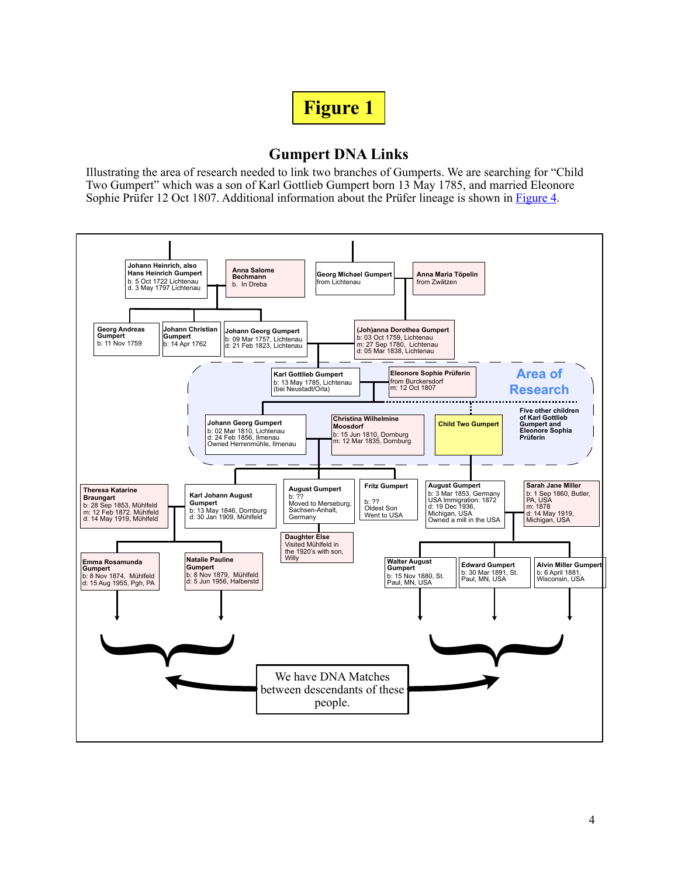<span id="page-3-1"></span>

## **Gumpert DNA Links**

<span id="page-3-0"></span>Illustrating the area of research needed to link two branches of Gumperts. We are searching for "Child Two Gumpert" which was a son of Karl Gottlieb Gumpert born 13 May 1785, and married Eleonore Sophie Prüfer 12 Oct 1807. Additional information about the Prüfer lineage is shown in [Figure 4.](#page-11-1)

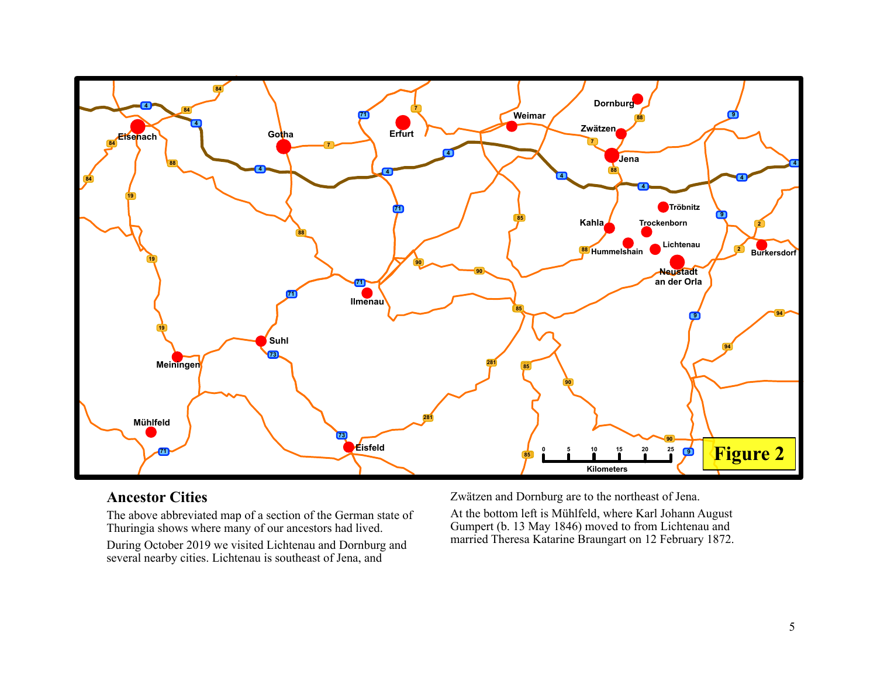<span id="page-4-0"></span>

### **Ancestor Cities**

The above abbreviated map of a section of the German state of Thuringia shows where many of our ancestors had lived.

During October 2019 we visited Lichtenau and Dornburg and several nearby cities. Lichtenau is southeast of Jena, and

Zwätzen and Dornburg are to the northeast of Jena.

<span id="page-4-1"></span>At the bottom left is Mühlfeld, where Karl Johann August Gumpert (b. 13 May 1846) moved to from Lichtenau and married Theresa Katarine Braungart on 12 February 1872.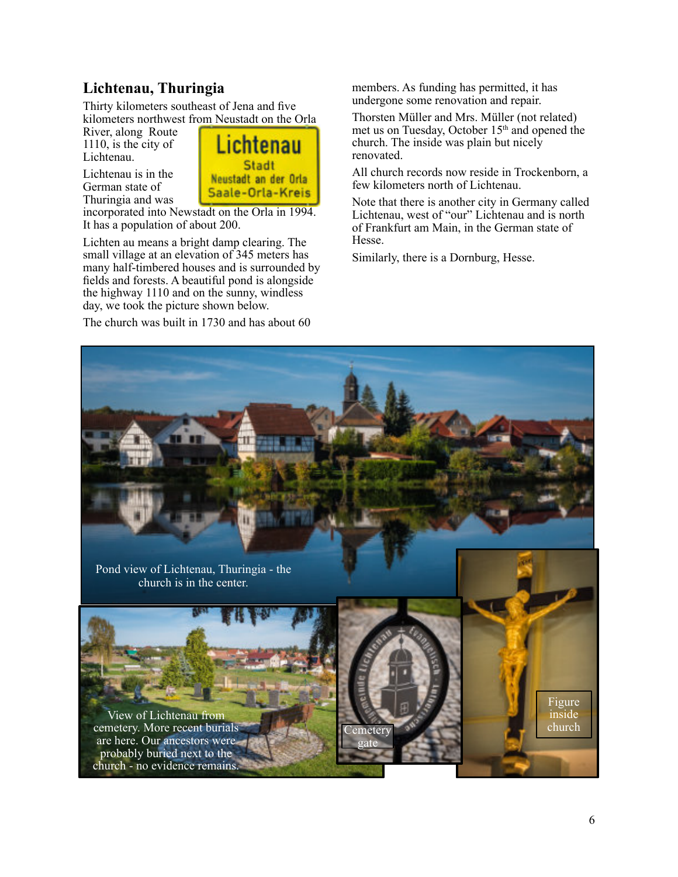## <span id="page-5-0"></span>**Lichtenau, Thuringia**

Thirty kilometers southeast of Jena and five kilometers northwest from Neustadt on the Orla

River, along Route 1110, is the city of Lichtenau.

Lichtenau is in the German state of Thuringia and was



incorporated into Newstadt on the Orla in 1994. It has a population of about 200.

Lichten au means a bright damp clearing. The small village at an elevation of 345 meters has many half-timbered houses and is surrounded by fields and forests. A beautiful pond is alongside the highway 1110 and on the sunny, windless day, we took the picture shown below.

The church was built in 1730 and has about 60

members. As funding has permitted, it has undergone some renovation and repair.

Thorsten Müller and Mrs. Müller (not related) met us on Tuesday, October 15<sup>th</sup> and opened the church. The inside was plain but nicely renovated.

All church records now reside in Trockenborn, a few kilometers north of Lichtenau.

Note that there is another city in Germany called Lichtenau, west of "our" Lichtenau and is north of Frankfurt am Main, in the German state of Hesse.

Similarly, there is a Dornburg, Hesse.

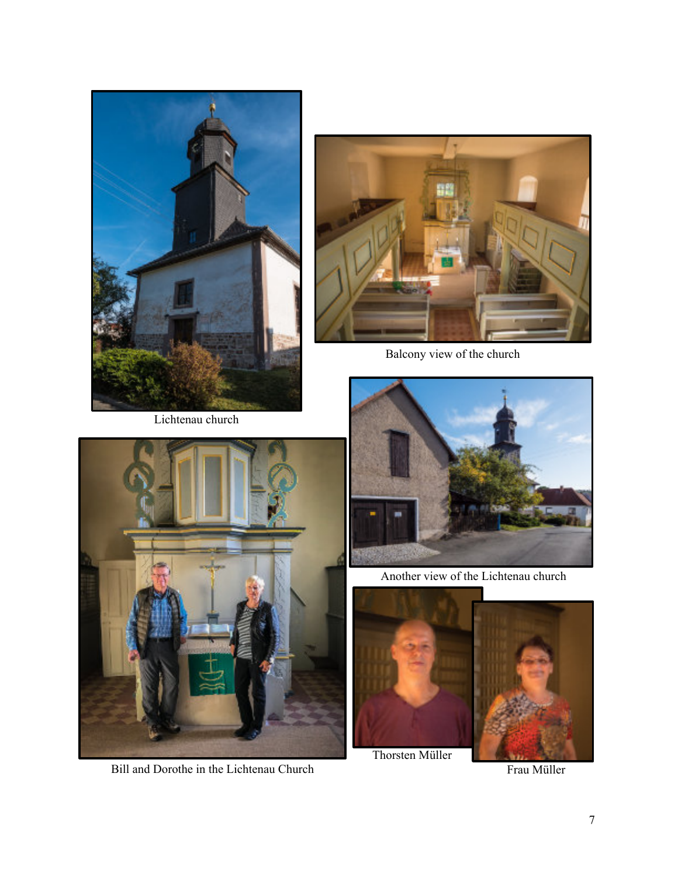

Lichtenau church



Bill and Dorothe in the Lichtenau Church



Balcony view of the church



Another view of the Lichtenau church



Thorsten Müller

Frau Müller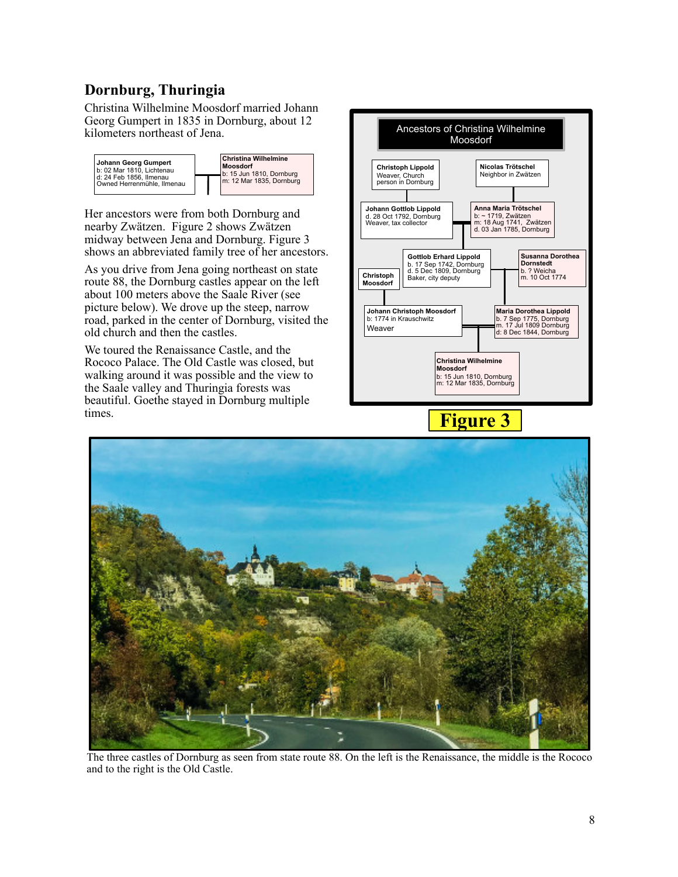# <span id="page-7-0"></span>**Dornburg, Thuringia**

Christina Wilhelmine Moosdorf married Johann Georg Gumpert in 1835 in Dornburg, about 12 kilometers northeast of Jena.



Her ancestors were from both Dornburg and nearby Zwätzen. Figure 2 shows Zwätzen midway between Jena and Dornburg. Figure 3 shows an abbreviated family tree of her ancestors.

As you drive from Jena going northeast on state route 88, the Dornburg castles appear on the left about 100 meters above the Saale River (see picture below). We drove up the steep, narrow road, parked in the center of Dornburg, visited the old church and then the castles.

We toured the Renaissance Castle, and the Rococo Palace. The Old Castle was closed, but walking around it was possible and the view to the Saale valley and Thuringia forests was beautiful. Goethe stayed in Dornburg multiple times.



<span id="page-7-1"></span>



The three castles of Dornburg as seen from state route 88. On the left is the Renaissance, the middle is the Rococo and to the right is the Old Castle.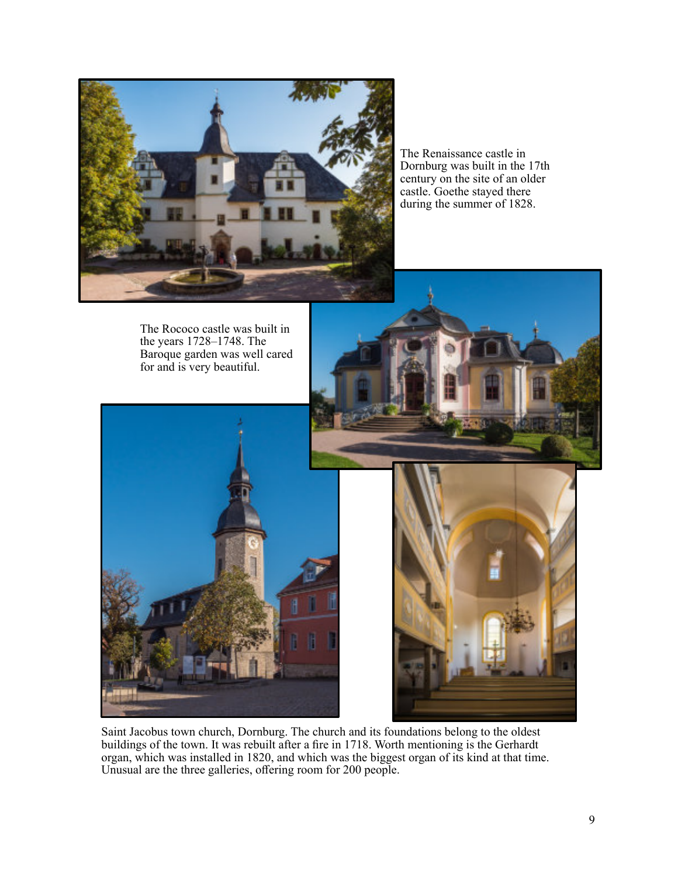

The Renaissance castle in Dornburg was built in the 17th century on the site of an older castle. Goethe stayed there during the summer of 1828.





Saint Jacobus town church, Dornburg. The church and its foundations belong to the oldest buildings of the town. It was rebuilt after a fire in 1718. Worth mentioning is the Gerhardt organ, which was installed in 1820, and which was the biggest organ of its kind at that time. Unusual are the three galleries, offering room for 200 people.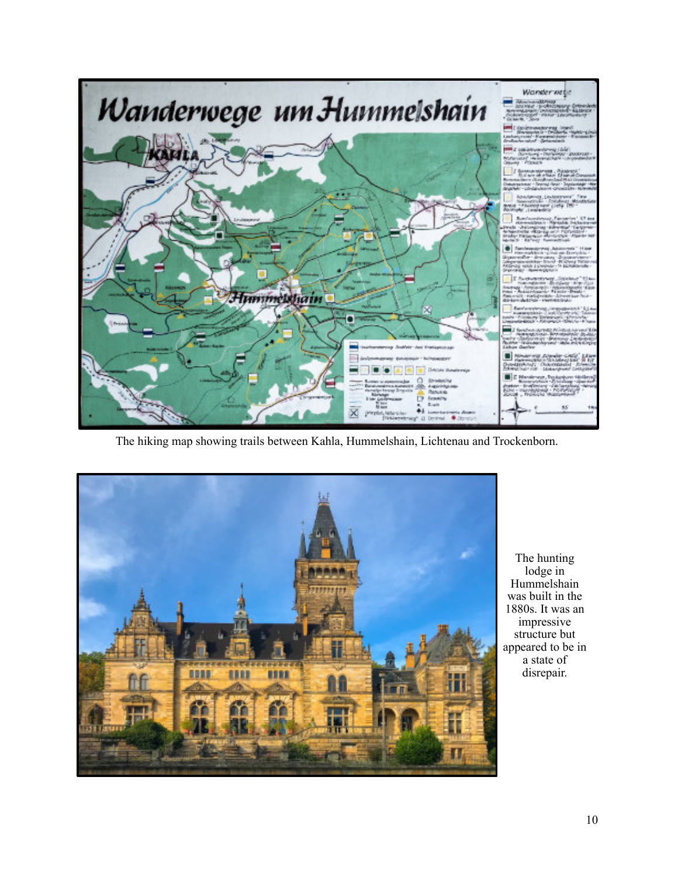

The hiking map showing trails between Kahla, Hummelshain, Lichtenau and Trockenborn.



The hunting lodge in Hummelshain was built in the 1880s. It was an impressive structure but appeared to be in a state of disrepair.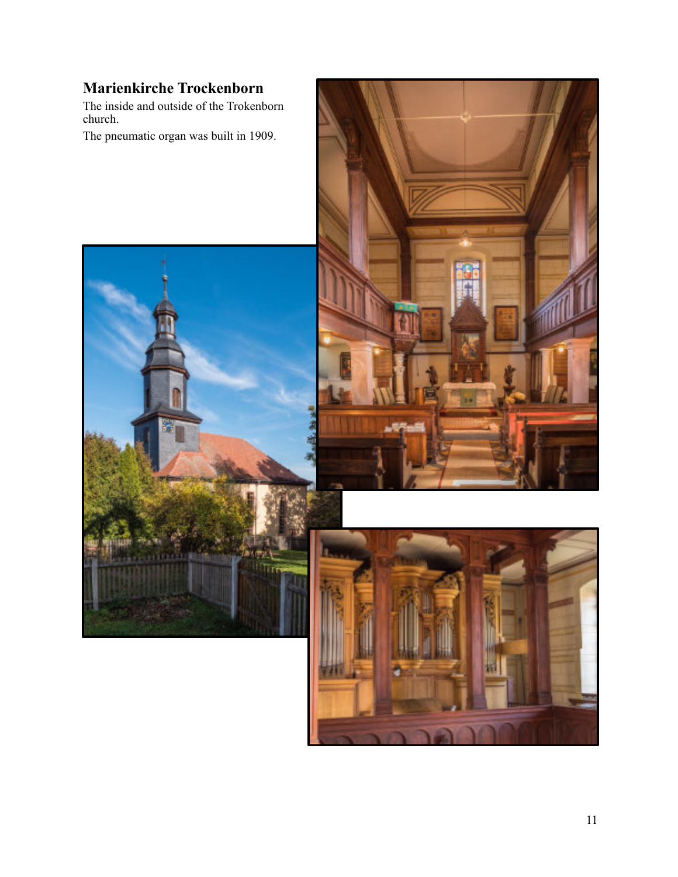# <span id="page-10-0"></span>**Marienkirche Trockenborn**

The inside and outside of the Trokenborn church.

The pneumatic organ was built in 1909.